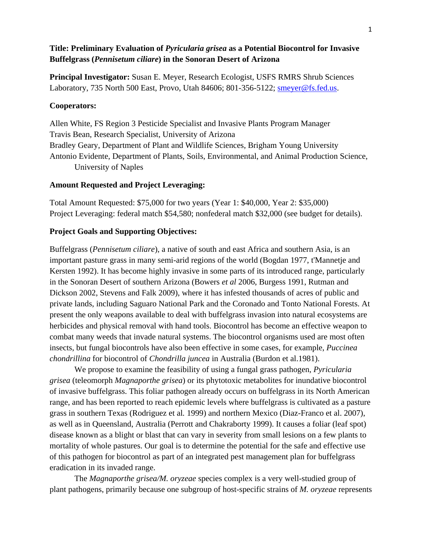# **Title: Preliminary Evaluation of** *Pyricularia grisea* **as a Potential Biocontrol for Invasive Buffelgrass (***Pennisetum ciliare***) in the Sonoran Desert of Arizona**

**Principal Investigator:** Susan E. Meyer, Research Ecologist, USFS RMRS Shrub Sciences Laboratory, 735 North 500 East, Provo, Utah 84606; 801-356-5122; smeyer@fs.fed.us.

### **Cooperators:**

Allen White, FS Region 3 Pesticide Specialist and Invasive Plants Program Manager Travis Bean, Research Specialist, University of Arizona Bradley Geary, Department of Plant and Wildlife Sciences, Brigham Young University Antonio Evidente, Department of Plants, Soils, Environmental, and Animal Production Science, University of Naples

### **Amount Requested and Project Leveraging:**

Total Amount Requested: \$75,000 for two years (Year 1: \$40,000, Year 2: \$35,000) Project Leveraging: federal match \$54,580; nonfederal match \$32,000 (see budget for details).

### **Project Goals and Supporting Objectives:**

Buffelgrass (*Pennisetum ciliare*), a native of south and east Africa and southern Asia, is an important pasture grass in many semi-arid regions of the world (Bogdan 1977, t'Mannetje and Kersten 1992). It has become highly invasive in some parts of its introduced range, particularly in the Sonoran Desert of southern Arizona (Bowers *et al* 2006, Burgess 1991, Rutman and Dickson 2002, Stevens and Falk 2009), where it has infested thousands of acres of public and private lands, including Saguaro National Park and the Coronado and Tonto National Forests. At present the only weapons available to deal with buffelgrass invasion into natural ecosystems are herbicides and physical removal with hand tools. Biocontrol has become an effective weapon to combat many weeds that invade natural systems. The biocontrol organisms used are most often insects, but fungal biocontrols have also been effective in some cases, for example, *Puccinea chondrillina* for biocontrol of *Chondrilla juncea* in Australia (Burdon et al.1981).

 We propose to examine the feasibility of using a fungal grass pathogen, *Pyricularia grisea* (teleomorph *Magnaporthe grisea*) or its phytotoxic metabolites for inundative biocontrol of invasive buffelgrass. This foliar pathogen already occurs on buffelgrass in its North American range, and has been reported to reach epidemic levels where buffelgrass is cultivated as a pasture grass in southern Texas (Rodriguez et al*.* 1999) and northern Mexico (Diaz-Franco et al. 2007), as well as in Queensland, Australia (Perrott and Chakraborty 1999). It causes a foliar (leaf spot) disease known as a blight or blast that can vary in severity from small lesions on a few plants to mortality of whole pastures. Our goal is to determine the potential for the safe and effective use of this pathogen for biocontrol as part of an integrated pest management plan for buffelgrass eradication in its invaded range.

 The *Magnaporthe grisea/M. oryzeae* species complex is a very well-studied group of plant pathogens, primarily because one subgroup of host-specific strains of *M. oryzeae* represents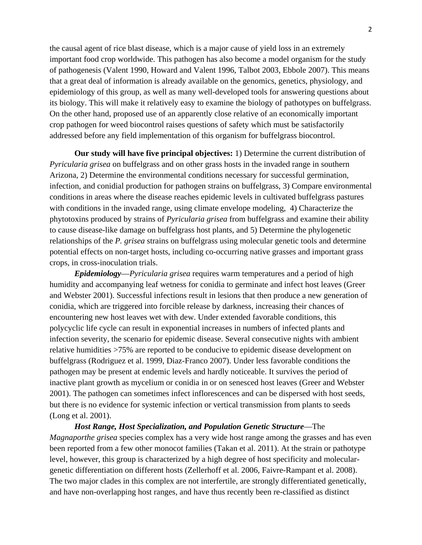the causal agent of rice blast disease, which is a major cause of yield loss in an extremely important food crop worldwide. This pathogen has also become a model organism for the study of pathogenesis (Valent 1990, Howard and Valent 1996, Talbot 2003, Ebbole 2007). This means that a great deal of information is already available on the genomics, genetics, physiology, and epidemiology of this group, as well as many well-developed tools for answering questions about its biology. This will make it relatively easy to examine the biology of pathotypes on buffelgrass. On the other hand, proposed use of an apparently close relative of an economically important crop pathogen for weed biocontrol raises questions of safety which must be satisfactorily addressed before any field implementation of this organism for buffelgrass biocontrol.

**Our study will have five principal objectives:** 1) Determine the current distribution of *Pyricularia grisea* on buffelgrass and on other grass hosts in the invaded range in southern Arizona, 2) Determine the environmental conditions necessary for successful germination, infection, and conidial production for pathogen strains on buffelgrass, 3) Compare environmental conditions in areas where the disease reaches epidemic levels in cultivated buffelgrass pastures with conditions in the invaded range, using climate envelope modeling, 4) Characterize the phytotoxins produced by strains of *Pyricularia grisea* from buffelgrass and examine their ability to cause disease-like damage on buffelgrass host plants, and 5) Determine the phylogenetic relationships of the *P. grisea* strains on buffelgrass using molecular genetic tools and determine potential effects on non-target hosts, including co-occurring native grasses and important grass crops, in cross-inoculation trials.

*Epidemiology*—*Pyricularia grisea* requires warm temperatures and a period of high humidity and accompanying leaf wetness for conidia to germinate and infect host leaves (Greer and Webster 2001). Successful infections result in lesions that then produce a new generation of conidia, which are triggered into forcible release by darkness, increasing their chances of encountering new host leaves wet with dew. Under extended favorable conditions, this polycyclic life cycle can result in exponential increases in numbers of infected plants and infection severity, the scenario for epidemic disease. Several consecutive nights with ambient relative humidities >75% are reported to be conducive to epidemic disease development on buffelgrass (Rodriguez et al. 1999, Diaz-Franco 2007). Under less favorable conditions the pathogen may be present at endemic levels and hardly noticeable. It survives the period of inactive plant growth as mycelium or conidia in or on senesced host leaves (Greer and Webster 2001). The pathogen can sometimes infect inflorescences and can be dispersed with host seeds, but there is no evidence for systemic infection or vertical transmission from plants to seeds (Long et al. 2001).

*Host Range, Host Specialization, and Population Genetic Structure*—The *Magnaporthe grisea* species complex has a very wide host range among the grasses and has even been reported from a few other monocot families (Takan et al. 2011). At the strain or pathotype level, however, this group is characterized by a high degree of host specificity and moleculargenetic differentiation on different hosts (Zellerhoff et al. 2006, Faivre-Rampant et al. 2008). The two major clades in this complex are not interfertile, are strongly differentiated genetically, and have non-overlapping host ranges, and have thus recently been re-classified as distinct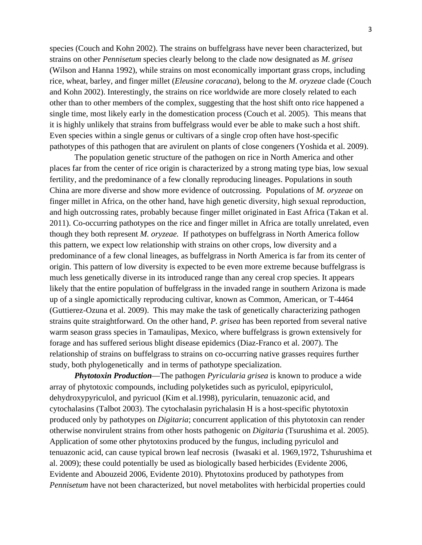species (Couch and Kohn 2002). The strains on buffelgrass have never been characterized, but strains on other *Pennisetum* species clearly belong to the clade now designated as *M. grisea*  (Wilson and Hanna 1992), while strains on most economically important grass crops, including rice, wheat, barley, and finger millet (*Eleusine coracana*), belong to the *M. oryzeae* clade (Couch and Kohn 2002). Interestingly, the strains on rice worldwide are more closely related to each other than to other members of the complex, suggesting that the host shift onto rice happened a single time, most likely early in the domestication process (Couch et al. 2005). This means that it is highly unlikely that strains from buffelgrass would ever be able to make such a host shift. Even species within a single genus or cultivars of a single crop often have host-specific pathotypes of this pathogen that are avirulent on plants of close congeners (Yoshida et al. 2009).

The population genetic structure of the pathogen on rice in North America and other places far from the center of rice origin is characterized by a strong mating type bias, low sexual fertility, and the predominance of a few clonally reproducing lineages. Populations in south China are more diverse and show more evidence of outcrossing. Populations of *M. oryzeae* on finger millet in Africa, on the other hand, have high genetic diversity, high sexual reproduction, and high outcrossing rates, probably because finger millet originated in East Africa (Takan et al. 2011). Co-occurring pathotypes on the rice and finger millet in Africa are totally unrelated, even though they both represent *M. oryzeae.* If pathotypes on buffelgrass in North America follow this pattern, we expect low relationship with strains on other crops, low diversity and a predominance of a few clonal lineages, as buffelgrass in North America is far from its center of origin. This pattern of low diversity is expected to be even more extreme because buffelgrass is much less genetically diverse in its introduced range than any cereal crop species. It appears likely that the entire population of buffelgrass in the invaded range in southern Arizona is made up of a single apomictically reproducing cultivar, known as Common, American, or T-4464 (Guttierez-Ozuna et al. 2009). This may make the task of genetically characterizing pathogen strains quite straightforward. On the other hand, *P. grisea* has been reported from several native warm season grass species in Tamaulipas, Mexico, where buffelgrass is grown extensively for forage and has suffered serious blight disease epidemics (Diaz-Franco et al. 2007). The relationship of strains on buffelgrass to strains on co-occurring native grasses requires further study, both phylogenetically and in terms of pathotype specialization.

*Phytotoxin Production*—The pathogen *Pyricularia grisea* is known to produce a wide array of phytotoxic compounds, including polyketides such as pyriculol, epipyriculol, dehydroxypyriculol, and pyricuol (Kim et al.1998), pyricularin, tenuazonic acid, and cytochalasins (Talbot 2003). The cytochalasin pyrichalasin H is a host-specific phytotoxin produced only by pathotypes on *Digitaria*; concurrent application of this phytotoxin can render otherwise nonvirulent strains from other hosts pathogenic on *Digitaria* (Tsurushima et al. 2005). Application of some other phytotoxins produced by the fungus, including pyriculol and tenuazonic acid, can cause typical brown leaf necrosis (Iwasaki et al. 1969,1972, Tshurushima et al. 2009); these could potentially be used as biologically based herbicides (Evidente 2006, Evidente and Abouzeid 2006, Evidente 2010). Phytotoxins produced by pathotypes from *Pennisetum* have not been characterized, but novel metabolites with herbicidal properties could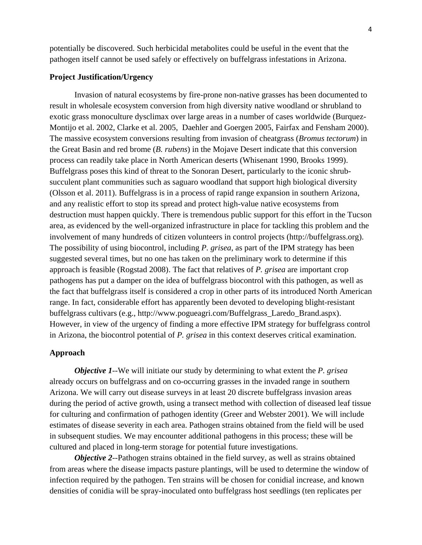potentially be discovered. Such herbicidal metabolites could be useful in the event that the pathogen itself cannot be used safely or effectively on buffelgrass infestations in Arizona.

#### **Project Justification/Urgency**

Invasion of natural ecosystems by fire-prone non-native grasses has been documented to result in wholesale ecosystem conversion from high diversity native woodland or shrubland to exotic grass monoculture dysclimax over large areas in a number of cases worldwide (Burquez-Montijo et al. 2002, Clarke et al. 2005, Daehler and Goergen 2005, Fairfax and Fensham 2000). The massive ecosystem conversions resulting from invasion of cheatgrass (*Bromus tectorum*) in the Great Basin and red brome (*B. rubens*) in the Mojave Desert indicate that this conversion process can readily take place in North American deserts (Whisenant 1990, Brooks 1999). Buffelgrass poses this kind of threat to the Sonoran Desert, particularly to the iconic shrubsucculent plant communities such as saguaro woodland that support high biological diversity (Olsson et al. 2011). Buffelgrass is in a process of rapid range expansion in southern Arizona, and any realistic effort to stop its spread and protect high-value native ecosystems from destruction must happen quickly. There is tremendous public support for this effort in the Tucson area, as evidenced by the well-organized infrastructure in place for tackling this problem and the involvement of many hundreds of citizen volunteers in control projects (http://buffelgrass.org). The possibility of using biocontrol, including *P. grisea*, as part of the IPM strategy has been suggested several times, but no one has taken on the preliminary work to determine if this approach is feasible (Rogstad 2008). The fact that relatives of *P. grisea* are important crop pathogens has put a damper on the idea of buffelgrass biocontrol with this pathogen, as well as the fact that buffelgrass itself is considered a crop in other parts of its introduced North American range. In fact, considerable effort has apparently been devoted to developing blight-resistant buffelgrass cultivars (e.g., http://www.pogueagri.com/Buffelgrass\_Laredo\_Brand.aspx). However, in view of the urgency of finding a more effective IPM strategy for buffelgrass control in Arizona, the biocontrol potential of *P. grisea* in this context deserves critical examination.

#### **Approach**

*Objective 1--*We will initiate our study by determining to what extent the *P. grisea* already occurs on buffelgrass and on co-occurring grasses in the invaded range in southern Arizona. We will carry out disease surveys in at least 20 discrete buffelgrass invasion areas during the period of active growth, using a transect method with collection of diseased leaf tissue for culturing and confirmation of pathogen identity (Greer and Webster 2001). We will include estimates of disease severity in each area. Pathogen strains obtained from the field will be used in subsequent studies. We may encounter additional pathogens in this process; these will be cultured and placed in long-term storage for potential future investigations.

*Objective 2--*Pathogen strains obtained in the field survey, as well as strains obtained from areas where the disease impacts pasture plantings, will be used to determine the window of infection required by the pathogen. Ten strains will be chosen for conidial increase, and known densities of conidia will be spray-inoculated onto buffelgrass host seedlings (ten replicates per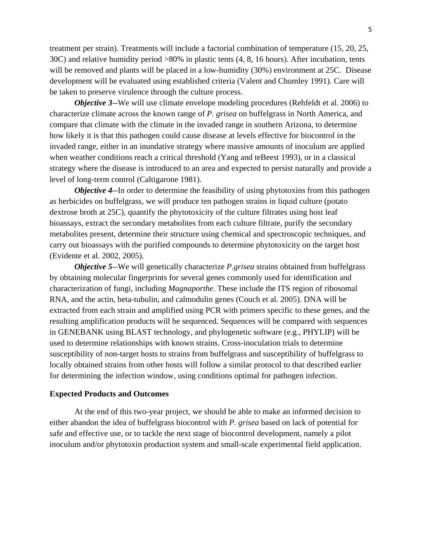treatment per strain). Treatments will include a factorial combination of temperature (15, 20, 25, 30C) and relative humidity period >80% in plastic tents (4, 8, 16 hours). After incubation, tents will be removed and plants will be placed in a low-humidity (30%) environment at 25C. Disease development will be evaluated using established criteria (Valent and Chumley 1991). Care will be taken to preserve virulence through the culture process.

*Objective 3--We will use climate envelope modeling procedures (Rehfeldt et al. 2006) to* characterize climate across the known range of *P. grisea* on buffelgrass in North America, and compare that climate with the climate in the invaded range in southern Arizona, to determine how likely it is that this pathogen could cause disease at levels effective for biocontrol in the invaded range, either in an inundative strategy where massive amounts of inoculum are applied when weather conditions reach a critical threshold (Yang and teBeest 1993), or in a classical strategy where the disease is introduced to an area and expected to persist naturally and provide a level of long-term control (Caltigarone 1981).

*Objective 4--In order to determine the feasibility of using phytotoxins from this pathogen* as herbicides on buffelgrass, we will produce ten pathogen strains in liquid culture (potato dextrose broth at 25C), quantify the phytotoxicity of the culture filtrates using host leaf bioassays, extract the secondary metabolites from each culture filtrate, purify the secondary metabolites present, determine their structure using chemical and spectroscopic techniques, and carry out bioassays with the purified compounds to determine phytotoxicity on the target host (Evidente et al. 2002, 2005).

*Objective 5--*We will genetically characterize *P.grisea* strains obtained from buffelgrass by obtaining molecular fingerprints for several genes commonly used for identification and characterization of fungi, including *Magnaporthe*. These include the ITS region of ribosomal RNA, and the actin, beta-tubulin, and calmodulin genes (Couch et al. 2005). DNA will be extracted from each strain and amplified using PCR with primers specific to these genes, and the resulting amplification products will be sequenced. Sequences will be compared with sequences in GENEBANK using BLAST technology, and phylogenetic software (e.g., PHYLIP) will be used to determine relationships with known strains. Cross-inoculation trials to determine susceptibility of non-target hosts to strains from buffelgrass and susceptibility of buffelgrass to locally obtained strains from other hosts will follow a similar protocol to that described earlier for determining the infection window, using conditions optimal for pathogen infection.

#### **Expected Products and Outcomes**

 At the end of this two-year project, we should be able to make an informed decision to either abandon the idea of buffelgrass biocontrol with *P. grisea* based on lack of potential for safe and effective use, or to tackle the next stage of biocontrol development, namely a pilot inoculum and/or phytotoxin production system and small-scale experimental field application.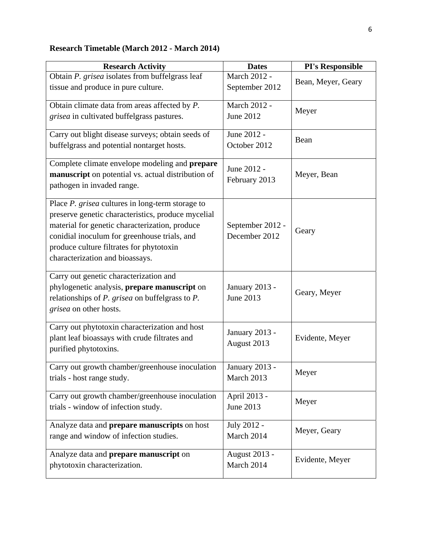# **Research Timetable (March 2012 - March 2014)**

| <b>Research Activity</b>                                                                                                                                                                                                                                                                | <b>Dates</b>                       | <b>PI's Responsible</b> |  |
|-----------------------------------------------------------------------------------------------------------------------------------------------------------------------------------------------------------------------------------------------------------------------------------------|------------------------------------|-------------------------|--|
| Obtain P. grisea isolates from buffelgrass leaf<br>tissue and produce in pure culture.                                                                                                                                                                                                  | March 2012 -<br>September 2012     | Bean, Meyer, Geary      |  |
| Obtain climate data from areas affected by P.<br>grisea in cultivated buffelgrass pastures.                                                                                                                                                                                             | March 2012 -<br>June 2012          | Meyer                   |  |
| Carry out blight disease surveys; obtain seeds of<br>buffelgrass and potential nontarget hosts.                                                                                                                                                                                         | June 2012 -<br>October 2012        | Bean                    |  |
| Complete climate envelope modeling and prepare<br>manuscript on potential vs. actual distribution of<br>pathogen in invaded range.                                                                                                                                                      | June 2012 -<br>February 2013       | Meyer, Bean             |  |
| Place P. grisea cultures in long-term storage to<br>preserve genetic characteristics, produce mycelial<br>material for genetic characterization, produce<br>conidial inoculum for greenhouse trials, and<br>produce culture filtrates for phytotoxin<br>characterization and bioassays. | September 2012 -<br>December 2012  | Geary                   |  |
| Carry out genetic characterization and<br>phylogenetic analysis, prepare manuscript on<br>relationships of $P$ . grisea on buffelgrass to $P$ .<br>grisea on other hosts.                                                                                                               | January 2013 -<br>June 2013        | Geary, Meyer            |  |
| Carry out phytotoxin characterization and host<br>plant leaf bioassays with crude filtrates and<br>purified phytotoxins.                                                                                                                                                                | January 2013 -<br>August 2013      | Evidente, Meyer         |  |
| Carry out growth chamber/greenhouse inoculation<br>trials - host range study.                                                                                                                                                                                                           | January 2013 -<br>March 2013       | Meyer                   |  |
| Carry out growth chamber/greenhouse inoculation<br>trials - window of infection study.                                                                                                                                                                                                  | April 2013 -<br>June 2013          | Meyer                   |  |
| Analyze data and prepare manuscripts on host<br>range and window of infection studies.                                                                                                                                                                                                  | July 2012 -<br>March 2014          | Meyer, Geary            |  |
| Analyze data and <b>prepare manuscript</b> on<br>phytotoxin characterization.                                                                                                                                                                                                           | <b>August 2013 -</b><br>March 2014 | Evidente, Meyer         |  |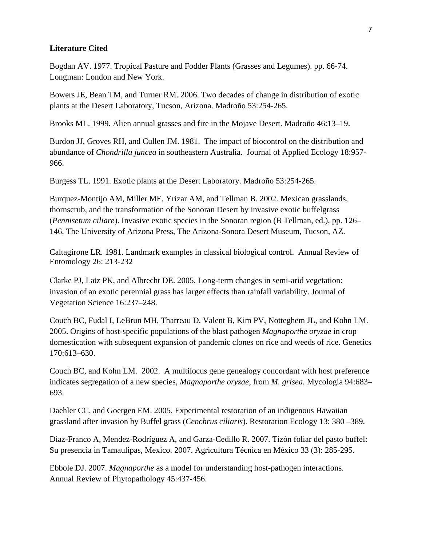#### **Literature Cited**

Bogdan AV. 1977. Tropical Pasture and Fodder Plants (Grasses and Legumes). pp. 66-74. Longman: London and New York.

Bowers JE, Bean TM, and Turner RM. 2006. Two decades of change in distribution of exotic plants at the Desert Laboratory, Tucson, Arizona. Madroño 53:254-265.

Brooks ML. 1999. Alien annual grasses and fire in the Mojave Desert. Madroño 46:13–19.

Burdon JJ, Groves RH, and Cullen JM. 1981. The impact of biocontrol on the distribution and abundance of *Chondrilla juncea* in southeastern Australia. Journal of Applied Ecology 18:957- 966.

Burgess TL. 1991. Exotic plants at the Desert Laboratory. Madroño 53:254-265.

Burquez-Montijo AM, Miller ME, Yrizar AM, and Tellman B. 2002. Mexican grasslands, thornscrub, and the transformation of the Sonoran Desert by invasive exotic buffelgrass (*Pennisetum ciliare*). Invasive exotic species in the Sonoran region (B Tellman, ed.), pp. 126– 146, The University of Arizona Press, The Arizona-Sonora Desert Museum, Tucson, AZ.

Caltagirone LR. 1981. Landmark examples in classical biological control. Annual Review of Entomology 26: 213-232

Clarke PJ, Latz PK, and Albrecht DE. 2005. Long-term changes in semi-arid vegetation: invasion of an exotic perennial grass has larger effects than rainfall variability. Journal of Vegetation Science 16:237–248.

Couch BC, Fudal I, LeBrun MH, Tharreau D, Valent B, Kim PV, Notteghem JL, and Kohn LM. 2005. Origins of host-specific populations of the blast pathogen *Magnaporthe oryzae* in crop domestication with subsequent expansion of pandemic clones on rice and weeds of rice. Genetics 170:613–630.

Couch BC, and Kohn LM. 2002. A multilocus gene genealogy concordant with host preference indicates segregation of a new species, *Magnaporthe oryzae*, from *M. grisea.* Mycologia 94:683– 693.

Daehler CC, and Goergen EM. 2005. Experimental restoration of an indigenous Hawaiian grassland after invasion by Buffel grass (*Cenchrus ciliaris*). Restoration Ecology 13: 380 –389.

Diaz-Franco A, Mendez-Rodríguez A, and Garza-Cedillo R. 2007. Tizón foliar del pasto buffel: Su presencia in Tamaulipas, Mexico. 2007. Agricultura Técnica en México 33 (3): 285-295.

Ebbole DJ. 2007. *Magnaporthe* as a model for understanding host-pathogen interactions. Annual Review of Phytopathology 45:437-456.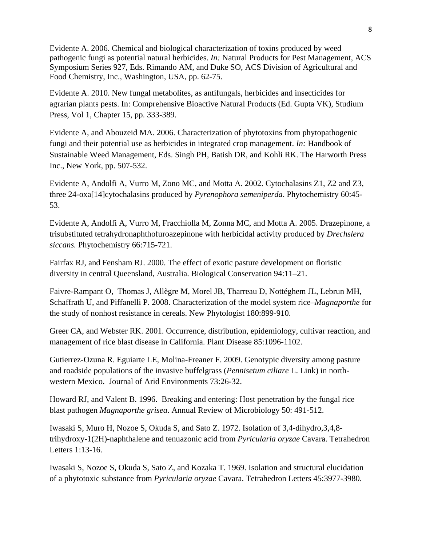Evidente A. 2006. Chemical and biological characterization of toxins produced by weed pathogenic fungi as potential natural herbicides. *In:* Natural Products for Pest Management, ACS Symposium Series 927, Eds. Rimando AM, and Duke SO, ACS Division of Agricultural and Food Chemistry, Inc., Washington, USA, pp. 62-75.

Evidente A. 2010. New fungal metabolites, as antifungals, herbicides and insecticides for agrarian plants pests. In: Comprehensive Bioactive Natural Products (Ed. Gupta VK), Studium Press, Vol 1, Chapter 15, pp. 333-389.

Evidente A, and Abouzeid MA. 2006. Characterization of phytotoxins from phytopathogenic fungi and their potential use as herbicides in integrated crop management. *In:* Handbook of Sustainable Weed Management, Eds. Singh PH, Batish DR, and Kohli RK. The Harworth Press Inc., New York, pp. 507-532.

Evidente A, Andolfi A, Vurro M, Zono MC, and Motta A. 2002. Cytochalasins Z1, Z2 and Z3, three 24-oxa[14]cytochalasins produced by *Pyrenophora semeniperda*. Phytochemistry 60:45- 53.

Evidente A, Andolfi A, Vurro M, Fracchiolla M, Zonna MC, and Motta A. 2005. Drazepinone, a trisubstituted tetrahydronaphthofuroazepinone with herbicidal activity produced by *Drechslera siccans.* Phytochemistry 66:715-721.

Fairfax RJ, and Fensham RJ. 2000. The effect of exotic pasture development on floristic diversity in central Queensland, Australia. Biological Conservation 94:11–21.

Faivre-Rampant O, Thomas J, Allègre M, Morel JB, Tharreau D, Nottéghem JL, Lebrun MH, Schaffrath U, and Piffanelli P. 2008. Characterization of the model system rice–*Magnaporthe* for the study of nonhost resistance in cereals. New Phytologist 180:899-910.

Greer CA, and Webster RK. 2001. Occurrence, distribution, epidemiology, cultivar reaction, and management of rice blast disease in California. Plant Disease 85:1096-1102.

Gutierrez-Ozuna R. Eguiarte LE, Molina-Freaner F. 2009. Genotypic diversity among pasture and roadside populations of the invasive buffelgrass (*Pennisetum ciliare* L. Link) in northwestern Mexico. Journal of Arid Environments 73:26-32.

Howard RJ, and Valent B. 1996. Breaking and entering: Host penetration by the fungal rice blast pathogen *Magnaporthe grisea*. Annual Review of Microbiology 50: 491-512.

Iwasaki S, Muro H, Nozoe S, Okuda S, and Sato Z. 1972. Isolation of 3,4-dihydro,3,4,8 trihydroxy-1(2H)-naphthalene and tenuazonic acid from *Pyricularia oryzae* Cavara. Tetrahedron Letters 1:13-16.

Iwasaki S, Nozoe S, Okuda S, Sato Z, and Kozaka T. 1969. Isolation and structural elucidation of a phytotoxic substance from *Pyricularia oryzae* Cavara. Tetrahedron Letters 45:3977-3980.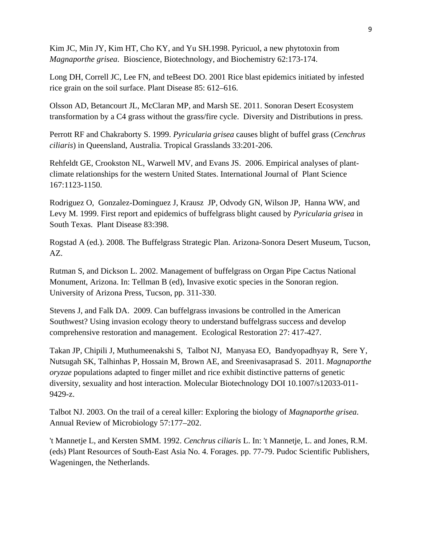Kim JC, Min JY, Kim HT, Cho KY, and Yu SH.1998. Pyricuol, a new phytotoxin from *Magnaporthe grisea*. Bioscience, Biotechnology, and Biochemistry 62:173-174.

Long DH, Correll JC, Lee FN, and teBeest DO. 2001 Rice blast epidemics initiated by infested rice grain on the soil surface. Plant Disease 85: 612–616.

Olsson AD, Betancourt JL, McClaran MP, and Marsh SE. 2011. Sonoran Desert Ecosystem transformation by a C4 grass without the grass/fire cycle. Diversity and Distributions in press.

Perrott RF and Chakraborty S. 1999. *Pyricularia grisea* causes blight of buffel grass (*Cenchrus ciliaris*) in Queensland, Australia. Tropical Grasslands 33:201-206.

Rehfeldt GE, Crookston NL, Warwell MV, and Evans JS. 2006. Empirical analyses of plantclimate relationships for the western United States. International Journal of Plant Science 167:1123-1150.

Rodriguez O, Gonzalez-Dominguez J, Krausz JP, Odvody GN, Wilson JP, Hanna WW, and Levy M. 1999. First report and epidemics of buffelgrass blight caused by *Pyricularia grisea* in South Texas. Plant Disease 83:398.

Rogstad A (ed.). 2008. The Buffelgrass Strategic Plan. Arizona-Sonora Desert Museum, Tucson, AZ.

Rutman S, and Dickson L. 2002. Management of buffelgrass on Organ Pipe Cactus National Monument, Arizona. In: Tellman B (ed), Invasive exotic species in the Sonoran region. University of Arizona Press, Tucson, pp. 311-330.

Stevens J, and Falk DA. 2009. Can buffelgrass invasions be controlled in the American Southwest? Using invasion ecology theory to understand buffelgrass success and develop comprehensive restoration and management. Ecological Restoration 27: 417-427.

Takan JP, Chipili J, Muthumeenakshi S, Talbot NJ, Manyasa EO, Bandyopadhyay R, Sere Y, Nutsugah SK, Talhinhas P, Hossain M, Brown AE, and Sreenivasaprasad S. 2011. *Magnaporthe oryzae* populations adapted to finger millet and rice exhibit distinctive patterns of genetic diversity, sexuality and host interaction. Molecular Biotechnology DOI 10.1007/s12033-011- 9429-z.

Talbot NJ. 2003. On the trail of a cereal killer: Exploring the biology of *Magnaporthe grisea*. Annual Review of Microbiology 57:177–202.

't Mannetje L, and Kersten SMM. 1992. *Cenchrus ciliaris* L. In: 't Mannetje, L. and Jones, R.M. (eds) Plant Resources of South-East Asia No. 4. Forages. pp. 77-79. Pudoc Scientific Publishers, Wageningen, the Netherlands.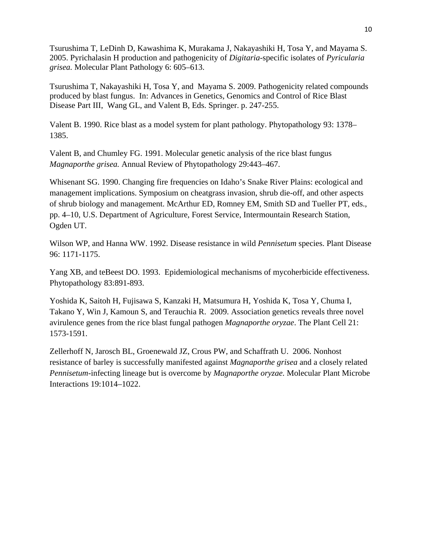Tsurushima T, LeDinh D, Kawashima K, Murakama J, Nakayashiki H, Tosa Y, and Mayama S. 2005. Pyrichalasin H production and pathogenicity of *Digitaria*-specific isolates of *Pyricularia grisea.* Molecular Plant Pathology 6: 605–613.

Tsurushima T, Nakayashiki H, Tosa Y, and Mayama S. 2009. Pathogenicity related compounds produced by blast fungus. In: Advances in Genetics, Genomics and Control of Rice Blast Disease Part III, Wang GL, and Valent B, Eds. Springer. p. 247-255.

Valent B. 1990. Rice blast as a model system for plant pathology. Phytopathology 93: 1378– 1385.

Valent B, and Chumley FG. 1991. Molecular genetic analysis of the rice blast fungus *Magnaporthe grisea.* Annual Review of Phytopathology 29:443–467.

Whisenant SG. 1990. Changing fire frequencies on Idaho's Snake River Plains: ecological and management implications. Symposium on cheatgrass invasion, shrub die-off, and other aspects of shrub biology and management. McArthur ED, Romney EM, Smith SD and Tueller PT, eds., pp. 4–10, U.S. Department of Agriculture, Forest Service, Intermountain Research Station, Ogden UT.

Wilson WP, and Hanna WW. 1992. Disease resistance in wild *Pennisetum* species. Plant Disease 96: 1171-1175.

Yang XB, and teBeest DO. 1993. Epidemiological mechanisms of mycoherbicide effectiveness. Phytopathology 83:891-893.

Yoshida K, Saitoh H, Fujisawa S, Kanzaki H, Matsumura H, Yoshida K, Tosa Y, Chuma I, Takano Y, Win J, Kamoun S, and Terauchia R. 2009. Association genetics reveals three novel avirulence genes from the rice blast fungal pathogen *Magnaporthe oryzae*. The Plant Cell 21: 1573-1591.

Zellerhoff N, Jarosch BL, Groenewald JZ, Crous PW, and Schaffrath U. 2006. Nonhost resistance of barley is successfully manifested against *Magnaporthe grisea* and a closely related *Pennisetum*-infecting lineage but is overcome by *Magnaporthe oryzae.* Molecular Plant Microbe Interactions 19:1014–1022.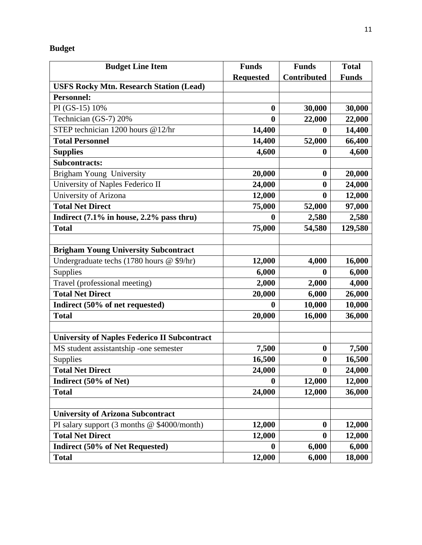# **Budget**

| <b>Budget Line Item</b>                               | <b>Funds</b>     | <b>Funds</b>       | <b>Total</b> |
|-------------------------------------------------------|------------------|--------------------|--------------|
|                                                       | <b>Requested</b> | <b>Contributed</b> | <b>Funds</b> |
| <b>USFS Rocky Mtn. Research Station (Lead)</b>        |                  |                    |              |
| <b>Personnel:</b>                                     |                  |                    |              |
| PI (GS-15) 10%                                        | $\boldsymbol{0}$ | 30,000             | 30,000       |
| Technician (GS-7) 20%                                 | $\boldsymbol{0}$ | 22,000             | 22,000       |
| $\overline{\text{STEP}}$ technician 1200 hours @12/hr | 14,400           | 0                  | 14,400       |
| <b>Total Personnel</b>                                | 14,400           | 52,000             | 66,400       |
| <b>Supplies</b>                                       | 4,600            | $\bf{0}$           | 4,600        |
| <b>Subcontracts:</b>                                  |                  |                    |              |
| Brigham Young University                              | 20,000           | $\bf{0}$           | 20,000       |
| University of Naples Federico II                      | 24,000           | $\boldsymbol{0}$   | 24,000       |
| University of Arizona                                 | 12,000           | $\bf{0}$           | 12,000       |
| <b>Total Net Direct</b>                               | 75,000           | 52,000             | 97,000       |
| Indirect $(7.1\%$ in house, 2.2% pass thru)           | $\bf{0}$         | 2,580              | 2,580        |
| <b>Total</b>                                          | 75,000           | 54,580             | 129,580      |
|                                                       |                  |                    |              |
| <b>Brigham Young University Subcontract</b>           |                  |                    |              |
| Undergraduate techs (1780 hours @ \$9/hr)             | 12,000           | 4,000              | 16,000       |
| Supplies                                              | 6,000            | $\bf{0}$           | 6,000        |
| Travel (professional meeting)                         | 2,000            | 2,000              | 4,000        |
| <b>Total Net Direct</b>                               | 20,000           | 6,000              | 26,000       |
| Indirect (50% of net requested)                       | $\bf{0}$         | 10,000             | 10,000       |
| <b>Total</b>                                          | 20,000           | 16,000             | 36,000       |
|                                                       |                  |                    |              |
| <b>University of Naples Federico II Subcontract</b>   |                  |                    |              |
| MS student assistantship -one semester                | 7,500            | $\boldsymbol{0}$   | 7,500        |
| Supplies                                              | 16,500           | $\boldsymbol{0}$   | 16,500       |
| <b>Total Net Direct</b>                               | 24,000           | $\boldsymbol{0}$   | 24,000       |
| Indirect (50% of Net)                                 | $\bf{0}$         | 12,000             | 12,000       |
| <b>Total</b>                                          | 24,000           | 12,000             | 36,000       |
|                                                       |                  |                    |              |
| <b>University of Arizona Subcontract</b>              |                  |                    |              |
| PI salary support (3 months @ \$4000/month)           | 12,000           | $\bf{0}$           | 12,000       |
| <b>Total Net Direct</b>                               | 12,000           | $\bf{0}$           | 12,000       |
| Indirect (50% of Net Requested)                       | $\bf{0}$         | 6,000              | 6,000        |
| <b>Total</b>                                          | 12,000           | 6,000              | 18,000       |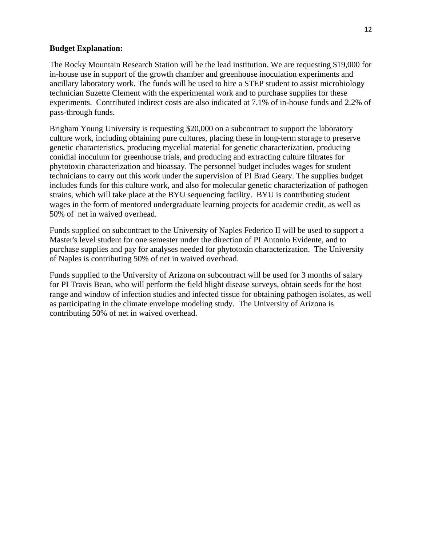#### **Budget Explanation:**

The Rocky Mountain Research Station will be the lead institution. We are requesting \$19,000 for in-house use in support of the growth chamber and greenhouse inoculation experiments and ancillary laboratory work. The funds will be used to hire a STEP student to assist microbiology technician Suzette Clement with the experimental work and to purchase supplies for these experiments. Contributed indirect costs are also indicated at 7.1% of in-house funds and 2.2% of pass-through funds.

Brigham Young University is requesting \$20,000 on a subcontract to support the laboratory culture work, including obtaining pure cultures, placing these in long-term storage to preserve genetic characteristics, producing mycelial material for genetic characterization, producing conidial inoculum for greenhouse trials, and producing and extracting culture filtrates for phytotoxin characterization and bioassay. The personnel budget includes wages for student technicians to carry out this work under the supervision of PI Brad Geary. The supplies budget includes funds for this culture work, and also for molecular genetic characterization of pathogen strains, which will take place at the BYU sequencing facility. BYU is contributing student wages in the form of mentored undergraduate learning projects for academic credit, as well as 50% of net in waived overhead.

Funds supplied on subcontract to the University of Naples Federico II will be used to support a Master's level student for one semester under the direction of PI Antonio Evidente, and to purchase supplies and pay for analyses needed for phytotoxin characterization. The University of Naples is contributing 50% of net in waived overhead.

Funds supplied to the University of Arizona on subcontract will be used for 3 months of salary for PI Travis Bean, who will perform the field blight disease surveys, obtain seeds for the host range and window of infection studies and infected tissue for obtaining pathogen isolates, as well as participating in the climate envelope modeling study. The University of Arizona is contributing 50% of net in waived overhead.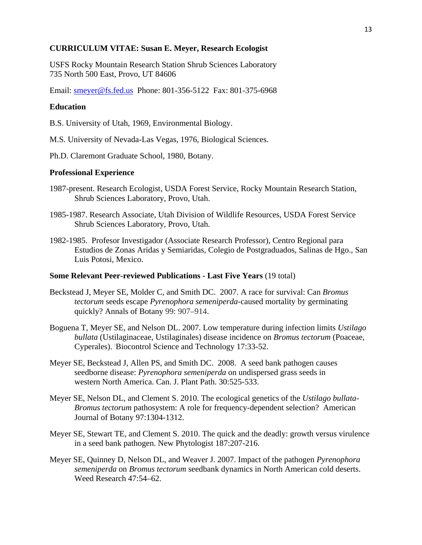#### **CURRICULUM VITAE: Susan E. Meyer, Research Ecologist**

USFS Rocky Mountain Research Station Shrub Sciences Laboratory 735 North 500 East, Provo, UT 84606

Email: smeyer@fs.fed.us Phone: 801-356-5122 Fax: 801-375-6968

#### **Education**

B.S. University of Utah, 1969, Environmental Biology.

M.S. University of Nevada-Las Vegas, 1976, Biological Sciences.

Ph.D. Claremont Graduate School, 1980, Botany.

#### **Professional Experience**

- 1987-present. Research Ecologist, USDA Forest Service, Rocky Mountain Research Station, Shrub Sciences Laboratory, Provo, Utah.
- 1985-1987. Research Associate, Utah Division of Wildlife Resources, USDA Forest Service Shrub Sciences Laboratory, Provo, Utah.
- 1982-1985. Profesor Investigador (Associate Research Professor), Centro Regional para Estudios de Zonas Aridas y Semiaridas, Colegio de Postgraduados, Salinas de Hgo., San Luis Potosi, Mexico.

#### **Some Relevant Peer-reviewed Publications - Last Five Years** (19 total)

- Beckstead J, Meyer SE, Molder C, and Smith DC. 2007. A race for survival: Can *Bromus tectorum* seeds escape *Pyrenophora semeniperda*-caused mortality by germinating quickly? Annals of Botany 99: 907–914.
- Boguena T, Meyer SE, and Nelson DL. 2007. Low temperature during infection limits *Ustilago bullata* (Ustilaginaceae, Ustilaginales) disease incidence on *Bromus tectorum* (Poaceae, Cyperales). Biocontrol Science and Technology 17:33-52.
- Meyer SE, Beckstead J, Allen PS, and Smith DC. 2008. A seed bank pathogen causes seedborne disease: *Pyrenophora semeniperda* on undispersed grass seeds in western North America. Can. J. Plant Path. 30:525-533.
- Meyer SE, Nelson DL, and Clement S. 2010. The ecological genetics of the *Ustilago bullata- Bromus tectorum* pathosystem: A role for frequency-dependent selection? American Journal of Botany 97:1304-1312.
- Meyer SE, Stewart TE, and Clement S. 2010. The quick and the deadly: growth versus virulence in a seed bank pathogen. New Phytologist 187:207-216.
- Meyer SE, Quinney D, Nelson DL, and Weaver J. 2007. Impact of the pathogen *Pyrenophora semeniperda* on *Bromus tectorum* seedbank dynamics in North American cold deserts. Weed Research 47:54–62.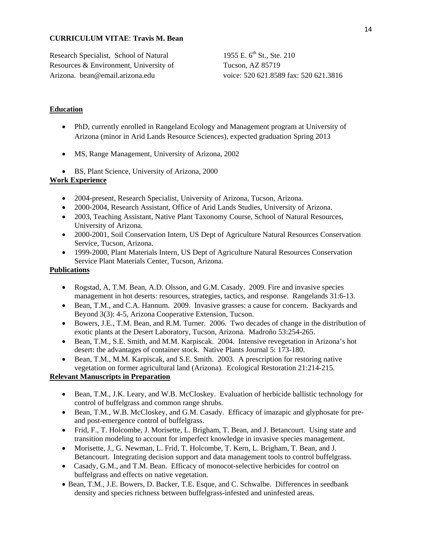#### **CURRICULUM VITAE**: **Travis M. Bean**

Research Specialist, School of Natural Resources & Environment, University of Arizona. bean@email.arizona.edu

1955 E. 6<sup>th</sup> St., Ste. 210 Tucson, AZ 85719 voice: 520 621.8589 fax: 520 621.3816

#### **Education**

- PhD, currently enrolled in Rangeland Ecology and Management program at University of Arizona (minor in Arid Lands Resource Sciences), expected graduation Spring 2013
- MS, Range Management, University of Arizona, 2002
- BS, Plant Science, University of Arizona, 2000

#### **Work Experience**

- 2004-present, Research Specialist, University of Arizona, Tucson, Arizona.
- 2000-2004, Research Assistant, Office of Arid Lands Studies, University of Arizona.
- 2003, Teaching Assistant, Native Plant Taxonomy Course, School of Natural Resources, University of Arizona.
- 2000-2001, Soil Conservation Intern, US Dept of Agriculture Natural Resources Conservation Service, Tucson, Arizona.
- 1999-2000, Plant Materials Intern, US Dept of Agriculture Natural Resources Conservation Service Plant Materials Center, Tucson, Arizona.

### **Publications**

- Rogstad, A, T.M. Bean, A.D. Olsson, and G.M. Casady. 2009. Fire and invasive species management in hot deserts: resources, strategies, tactics, and response. Rangelands 31:6-13.
- Bean, T.M., and C.A. Hannum. 2009. Invasive grasses: a cause for concern. Backyards and Beyond 3(3): 4-5, Arizona Cooperative Extension, Tucson.
- Bowers, J.E., T.M. Bean, and R.M. Turner. 2006. Two decades of change in the distribution of exotic plants at the Desert Laboratory, Tucson, Arizona. Madroño 53:254-265.
- Bean, T.M., S.E. Smith, and M.M. Karpiscak. 2004. Intensive revegetation in Arizona's hot desert: the advantages of container stock. Native Plants Journal 5: 173-180.
- Bean, T.M., M.M. Karpiscak, and S.E. Smith. 2003. A prescription for restoring native vegetation on former agricultural land (Arizona). Ecological Restoration 21:214-215.

### **Relevant Manuscripts in Preparation**

- Bean, T.M., J.K. Leary, and W.B. McCloskey. Evaluation of herbicide ballistic technology for control of buffelgrass and common range shrubs.
- Bean, T.M., W.B. McCloskey, and G.M. Casady. Efficacy of imazapic and glyphosate for preand post-emergence control of buffelgrass.
- Frid, F., T. Holcombe, J. Morisette, L. Brigham, T. Bean, and J. Betancourt. Using state and transition modeling to account for imperfect knowledge in invasive species management.
- Morisette, J., G. Newman, L. Frid, T. Holcombe, T. Kern, L. Brigham, T. Bean, and J. Betancourt. Integrating decision support and data management tools to control buffelgrass.
- Casady, G.M., and T.M. Bean. Efficacy of monocot-selective herbicides for control on buffelgrass and effects on native vegetation.
- Bean, T.M., J.E. Bowers, D. Backer, T.E. Esque, and C. Schwalbe. Differences in seedbank density and species richness between buffelgrass-infested and uninfested areas.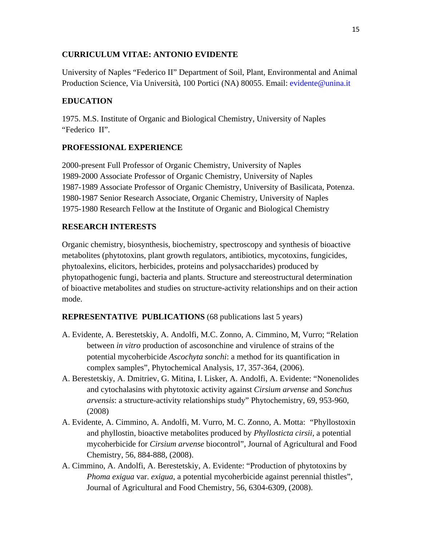# **CURRICULUM VITAE: ANTONIO EVIDENTE**

University of Naples "Federico II" Department of Soil, Plant, Environmental and Animal Production Science, Via Università, 100 Portici (NA) 80055. Email: evidente@unina.it

# **EDUCATION**

1975. M.S. Institute of Organic and Biological Chemistry, University of Naples "Federico II".

# **PROFESSIONAL EXPERIENCE**

2000-present Full Professor of Organic Chemistry, University of Naples 1989-2000 Associate Professor of Organic Chemistry, University of Naples 1987-1989 Associate Professor of Organic Chemistry, University of Basilicata, Potenza. 1980-1987 Senior Research Associate, Organic Chemistry, University of Naples 1975-1980 Research Fellow at the Institute of Organic and Biological Chemistry

# **RESEARCH INTERESTS**

Organic chemistry, biosynthesis, biochemistry, spectroscopy and synthesis of bioactive metabolites (phytotoxins, plant growth regulators, antibiotics, mycotoxins, fungicides, phytoalexins, elicitors, herbicides, proteins and polysaccharides) produced by phytopathogenic fungi, bacteria and plants. Structure and stereostructural determination of bioactive metabolites and studies on structure-activity relationships and on their action mode.

# **REPRESENTATIVE PUBLICATIONS** (68 publications last 5 years)

- A. Evidente, A. Berestetskiy, A. Andolfi, M.C. Zonno, A. Cimmino, M, Vurro; "Relation between *in vitro* production of ascosonchine and virulence of strains of the potential mycoherbicide *Ascochyta sonchi*: a method for its quantification in complex samples", Phytochemical Analysis, 17, 357-364, (2006).
- A. Berestetskiy, A. Dmitriev, G. Mitina, I. Lisker, A. Andolfi, A. Evidente: "Nonenolides and cytochalasins with phytotoxic activity against *Cirsium arvense* and *Sonchus arvensis*: a structure-activity relationships study" Phytochemistry, 69, 953-960, (2008)
- A. Evidente, A. Cimmino, A. Andolfi, M. Vurro, M. C. Zonno, A. Motta: "Phyllostoxin and phyllostin, bioactive metabolites produced by *Phyllosticta cirsii*, a potential mycoherbicide for *Cirsium arvense* biocontrol", Journal of Agricultural and Food Chemistry, 56, 884-888, (2008).
- A. Cimmino, A. Andolfi, A. Berestetskiy, A. Evidente: "Production of phytotoxins by *Phoma exigua* var. *exigua*, a potential mycoherbicide against perennial thistles", Journal of Agricultural and Food Chemistry, 56, 6304-6309, (2008).